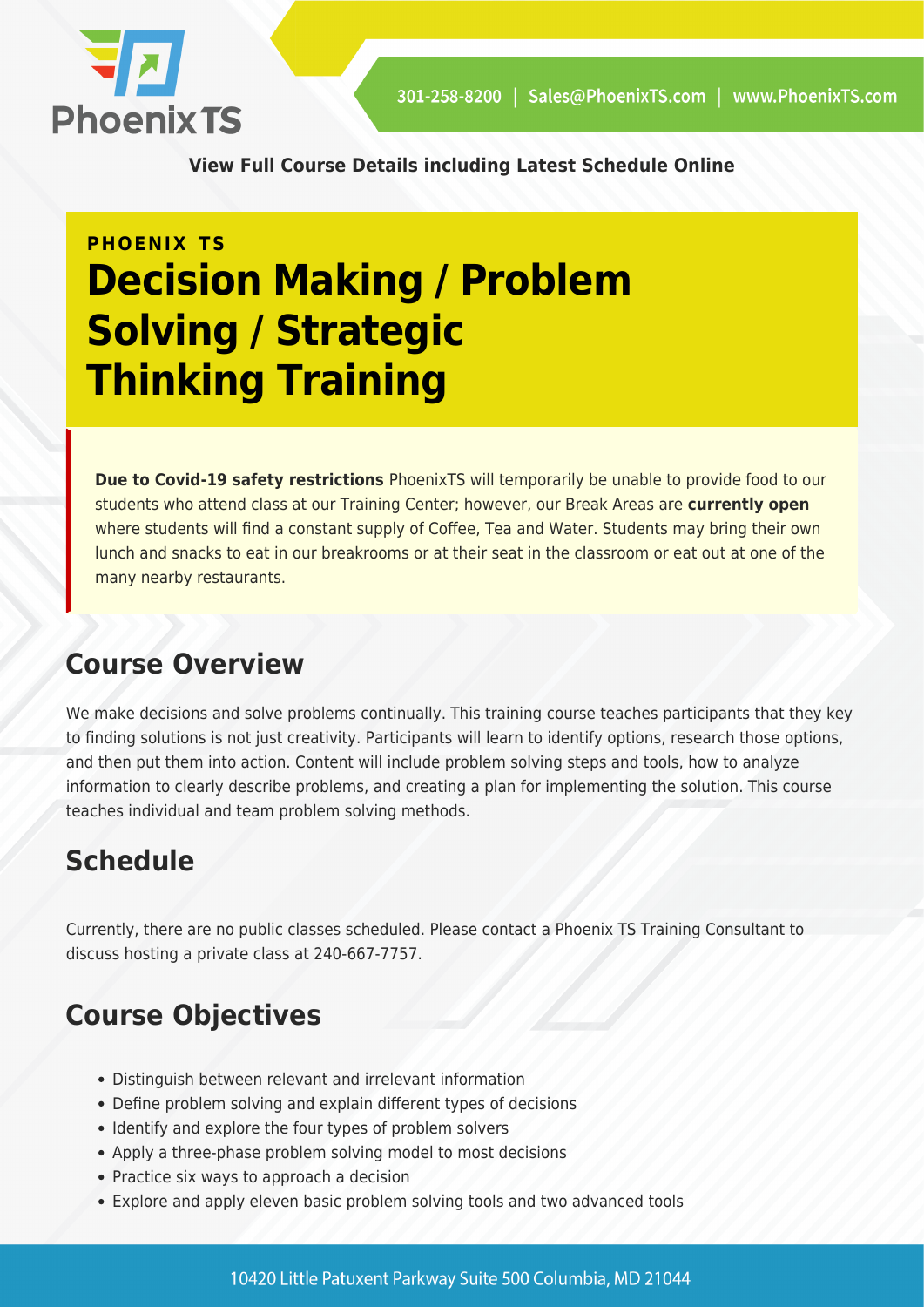

**[View Full Course Details including Latest Schedule Online](https://phoenixts.com/training-courses/decision-making-problem-solving-strategicthinking/)**

## **PHOENIX TS Decision Making / Problem Solving / Strategic Thinking Training**

**Due to Covid-19 safety restrictions** PhoenixTS will temporarily be unable to provide food to our students who attend class at our Training Center; however, our Break Areas are **currently open** where students will find a constant supply of Coffee, Tea and Water. Students may bring their own lunch and snacks to eat in our breakrooms or at their seat in the classroom or eat out at one of the many nearby restaurants.

### **Course Overview**

We make decisions and solve problems continually. This training course teaches participants that they key to finding solutions is not just creativity. Participants will learn to identify options, research those options, and then put them into action. Content will include problem solving steps and tools, how to analyze information to clearly describe problems, and creating a plan for implementing the solution. This course teaches individual and team problem solving methods.

## **Schedule**

Currently, there are no public classes scheduled. Please contact a Phoenix TS Training Consultant to discuss hosting a private class at 240-667-7757.

## **Course Objectives**

- Distinguish between relevant and irrelevant information
- Define problem solving and explain different types of decisions
- Identify and explore the four types of problem solvers
- Apply a three-phase problem solving model to most decisions
- Practice six ways to approach a decision
- Explore and apply eleven basic problem solving tools and two advanced tools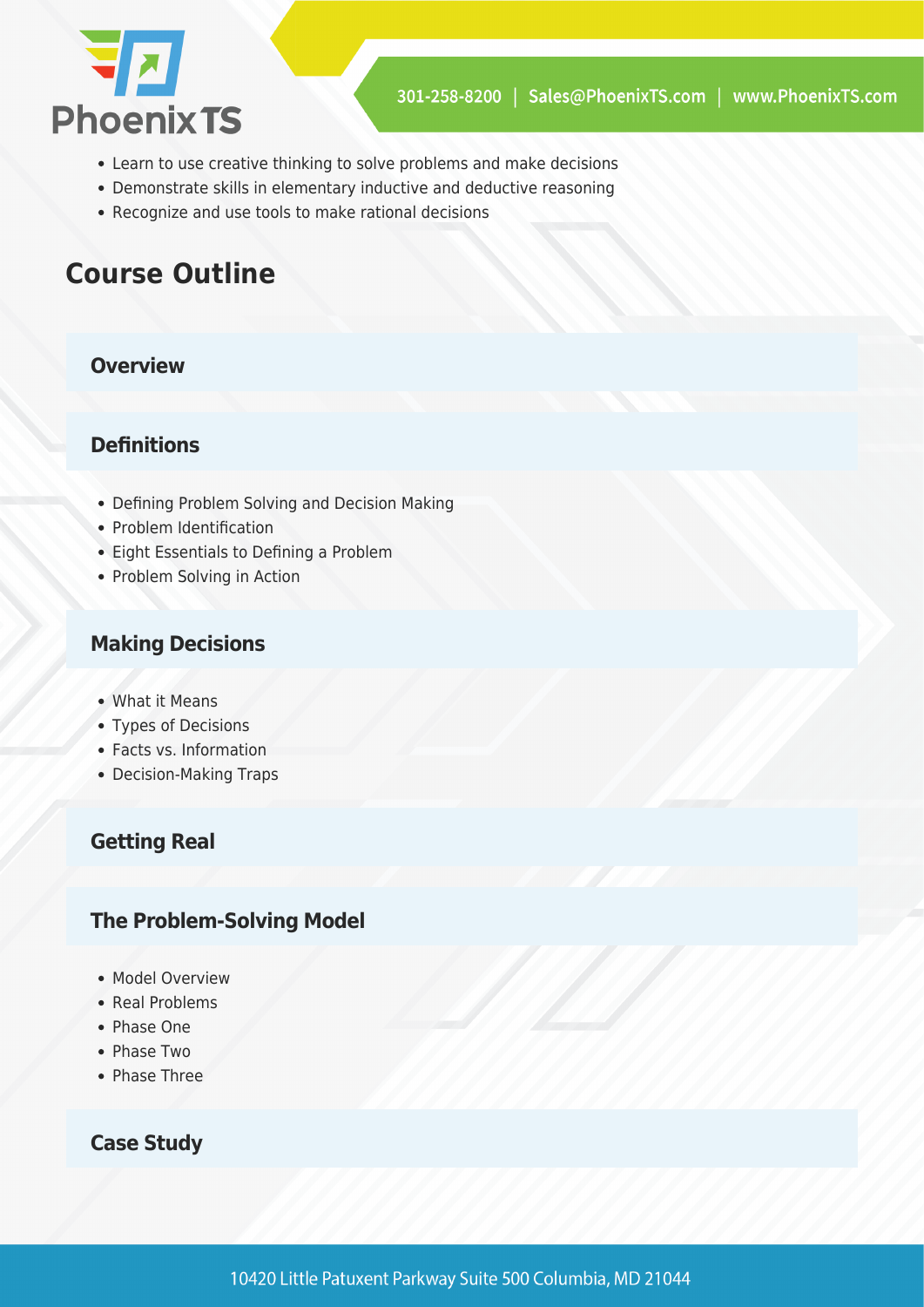

- Learn to use creative thinking to solve problems and make decisions
- Demonstrate skills in elementary inductive and deductive reasoning
- Recognize and use tools to make rational decisions

## **Course Outline**

#### **Overview**

#### **Definitions**

- Defining Problem Solving and Decision Making
- Problem Identification
- Eight Essentials to Defining a Problem
- Problem Solving in Action

#### **Making Decisions**

- What it Means
- Types of Decisions
- Facts vs. Information
- Decision-Making Traps

#### **Getting Real**

#### **The Problem-Solving Model**

- Model Overview
- Real Problems
- Phase One
- Phase Two
- Phase Three

#### **Case Study**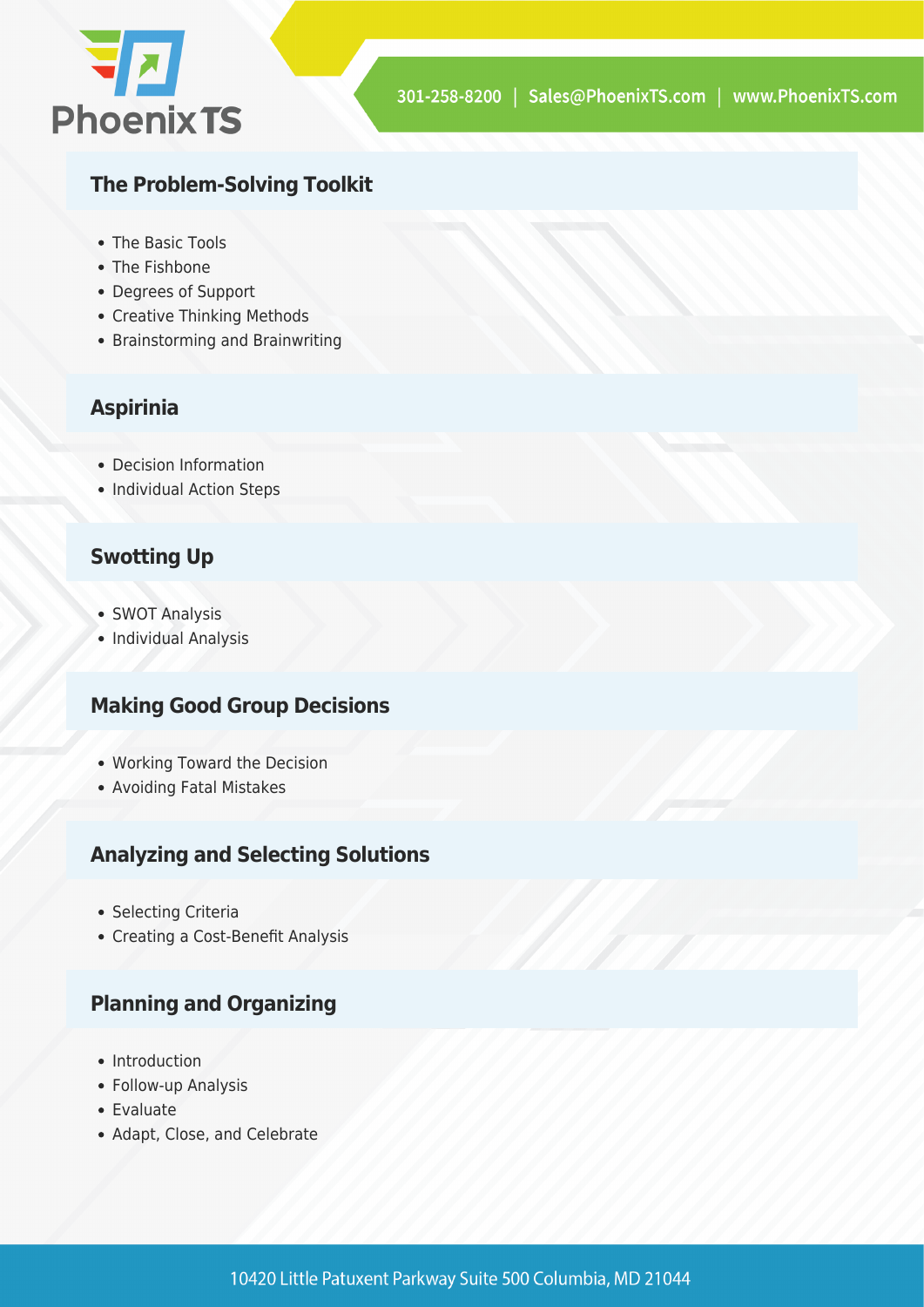

#### **The Problem-Solving Toolkit**

- The Basic Tools
- The Fishbone
- Degrees of Support
- Creative Thinking Methods
- Brainstorming and Brainwriting

#### **Aspirinia**

- Decision Information
- Individual Action Steps

#### **Swotting Up**

- SWOT Analysis
- Individual Analysis

#### **Making Good Group Decisions**

- Working Toward the Decision
- Avoiding Fatal Mistakes

#### **Analyzing and Selecting Solutions**

- Selecting Criteria
- Creating a Cost-Benefit Analysis

#### **Planning and Organizing**

- Introduction
- Follow-up Analysis
- Evaluate
- Adapt, Close, and Celebrate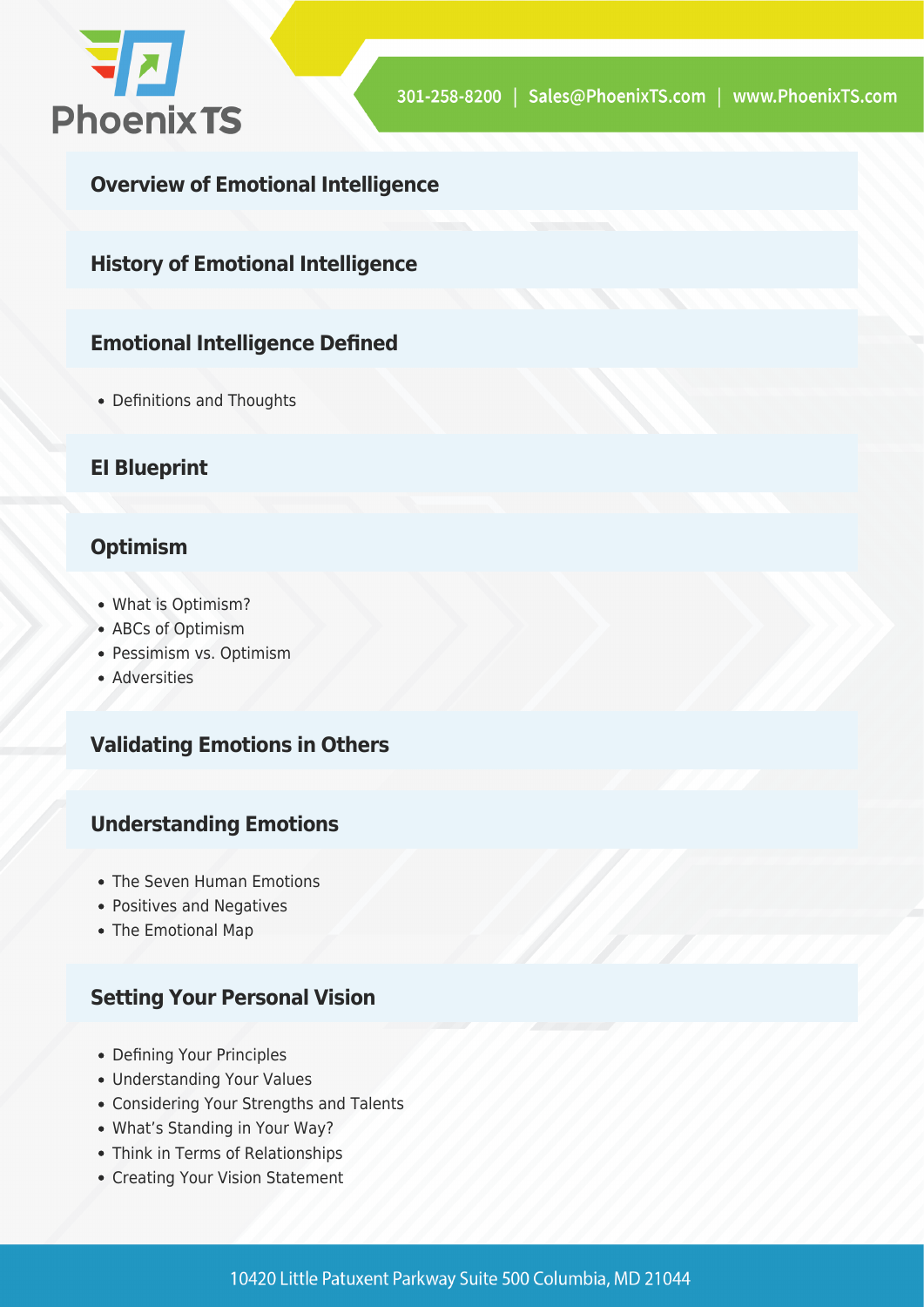

**Overview of Emotional Intelligence**

**History of Emotional Intelligence**

#### **Emotional Intelligence Defined**

• Definitions and Thoughts

#### **EI Blueprint**

#### **Optimism**

- What is Optimism?
- ABCs of Optimism
- Pessimism vs. Optimism
- Adversities

#### **Validating Emotions in Others**

#### **Understanding Emotions**

- The Seven Human Emotions
- Positives and Negatives
- The Emotional Map

#### **Setting Your Personal Vision**

- Defining Your Principles
- Understanding Your Values
- Considering Your Strengths and Talents
- What's Standing in Your Way?
- Think in Terms of Relationships
- Creating Your Vision Statement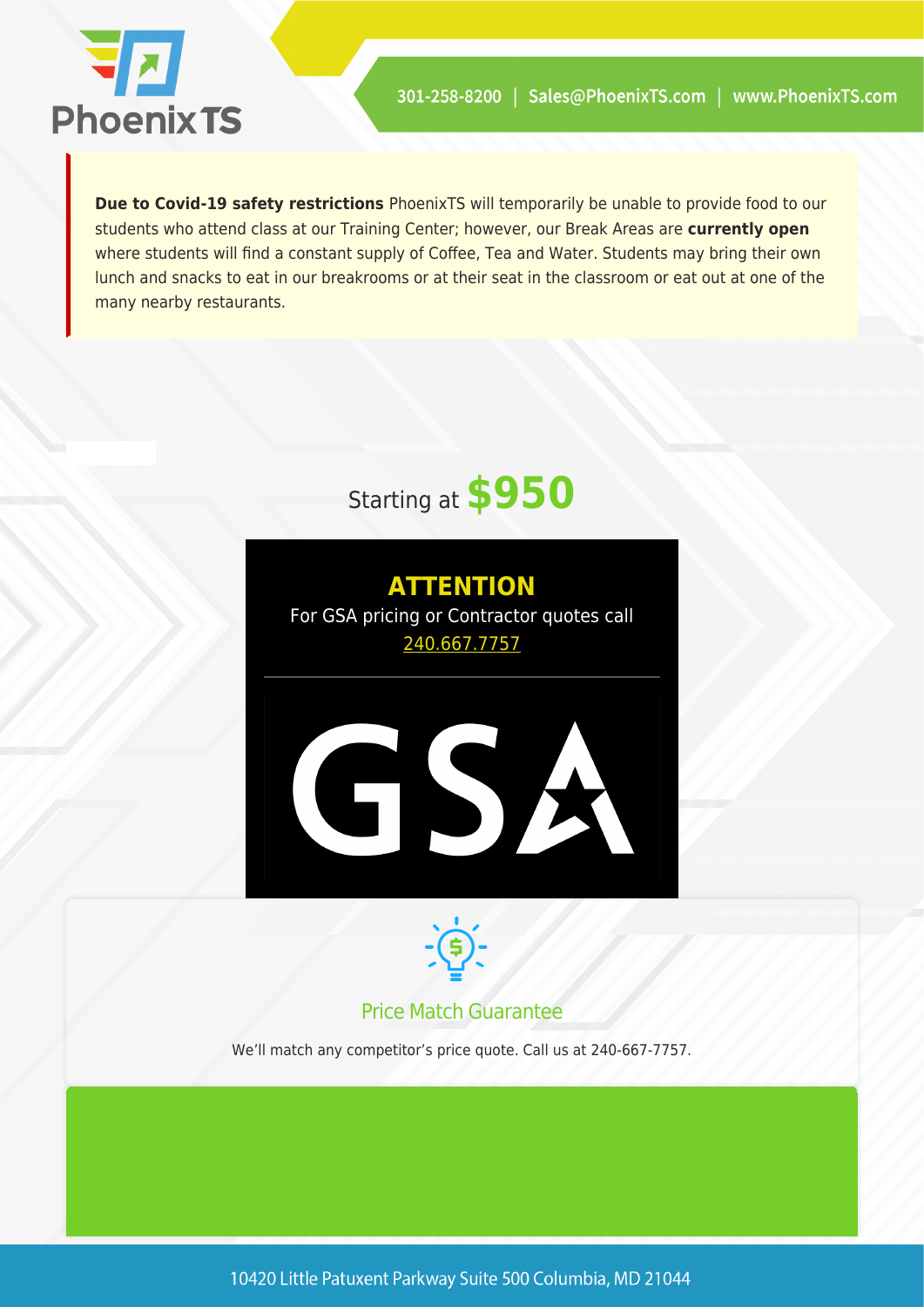

**Due to Covid-19 safety restrictions** PhoenixTS will temporarily be unable to provide food to our students who attend class at our Training Center; however, our Break Areas are **currently open** where students will find a constant supply of Coffee, Tea and Water. Students may bring their own lunch and snacks to eat in our breakrooms or at their seat in the classroom or eat out at one of the many nearby restaurants.

# Starting at **\$950**





#### Price Match Guarantee

We'll match any competitor's price quote. Call us at 240-667-7757.

10420 Little Patuxent Parkway Suite 500 Columbia, MD 21044